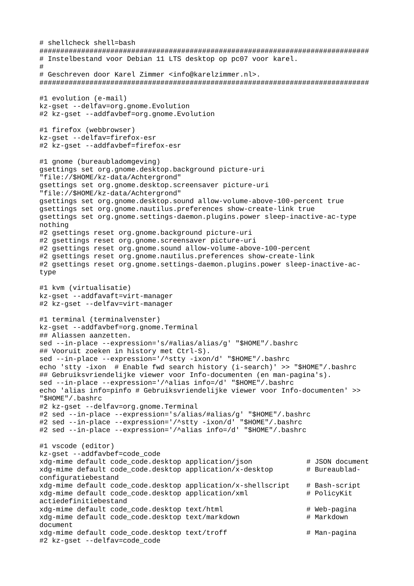```
# shellcheck shell=bash
###############################################################################
# Instelbestand voor Debian 11 LTS desktop op pc07 voor karel.
#
# Geschreven door Karel Zimmer <info@karelzimmer.nl>.
###############################################################################
#1 evolution (e-mail)
kz-gset --delfav=org.gnome.Evolution
#2 kz-gset --addfavbef=org.gnome.Evolution
#1 firefox (webbrowser)
kz-gset --delfav=firefox-esr
#2 kz-gset --addfavbef=firefox-esr
#1 gnome (bureaubladomgeving)
gsettings set org.gnome.desktop.background picture-uri 
"file://$HOME/kz-data/Achtergrond"
gsettings set org.gnome.desktop.screensaver picture-uri 
"file://$HOME/kz-data/Achtergrond"
gsettings set org.gnome.desktop.sound allow-volume-above-100-percent true
gsettings set org.gnome.nautilus.preferences show-create-link true
gsettings set org.gnome.settings-daemon.plugins.power sleep-inactive-ac-type 
nothing
#2 gsettings reset org.gnome.background picture-uri
#2 gsettings reset org.gnome.screensaver picture-uri
#2 gsettings reset org.gnome.sound allow-volume-above-100-percent
#2 gsettings reset org.gnome.nautilus.preferences show-create-link
#2 gsettings reset org.gnome.settings-daemon.plugins.power sleep-inactive-ac-
type
#1 kvm (virtualisatie)
kz-gset --addfavaft=virt-manager
#2 kz-gset --delfav=virt-manager
#1 terminal (terminalvenster)
kz-gset --addfavbef=org.gnome.Terminal
## Aliassen aanzetten.
sed --in-place --expression='s/#alias/alias/g' "$HOME"/.bashrc
## Vooruit zoeken in history met Ctrl-S).
sed --in-place --expression='/^stty -ixon/d' "$HOME"/.bashrc
echo 'stty -ixon # Enable fwd search history (i-search)' >> "$HOME"/.bashrc
## Gebruiksvriendelijke viewer voor Info-documenten (en man-pagina's).
sed --in-place --expression='/^alias info=/d' "$HOME"/.bashrc
echo 'alias info=pinfo # Gebruiksvriendelijke viewer voor Info-documenten' >> 
"$HOME"/.bashrc
#2 kz-gset --delfav=org.gnome.Terminal
#2 sed --in-place --expression='s/alias/#alias/g' "$HOME"/.bashrc
#2 sed --in-place --expression='/^stty -ixon/d' "$HOME"/.bashrc
#2 sed --in-place --expression='/^alias info=/d' "$HOME"/.bashrc
#1 vscode (editor)
kz-gset --addfavbef=code_code
xdg-mime default code_code.desktop application/json # JSON document
xdq-mime default code_code.desktop application/x-desktop # Bureaublad-
configuratiebestand
xdg-mime default code_code.desktop application/x-shellscript # Bash-script
xdg-mime default code_code.desktop application/xml # PolicyKit
actiedefinitiebestand
xdg-mime default code_code.desktop text/html \# Web-pagina
xdg-mime default code_code.desktop text/markdown # Markdown # Markdown
document
xdg-mime default code_code.desktop text/troff \# Man-pagina
#2 kz-gset --delfav=code_code
```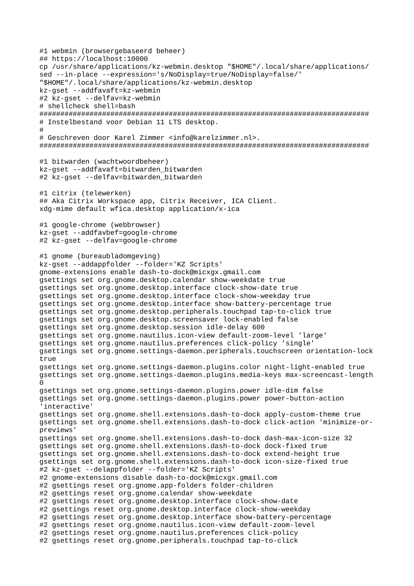#1 webmin (browsergebaseerd beheer) ## https://localhost:10000 cp /usr/share/applications/kz-webmin.desktop "\$HOME"/.local/share/applications/ sed --in-place --expression='s/NoDisplay=true/NoDisplay=false/' "\$HOME"/.local/share/applications/kz-webmin.desktop kz-gset --addfavaft=kz-webmin #2 kz-gset --delfav=kz-webmin # shellcheck shell=bash # Instelbestand voor Debian 11 LTS desktop.  $#$ # Geschreven door Karel Zimmer <info@karelzimmer.nl>. #1 bitwarden (wachtwoordbeheer) kz-gset --addfavaft=bitwarden\_bitwarden #2 kz-gset --delfav=bitwarden\_bitwarden #1 citrix (telewerken) ## Aka Citrix Workspace app, Citrix Receiver, ICA Client. xdg-mime default wfica.desktop application/x-ica #1 google-chrome (webbrowser) kz-gset --addfavbef=google-chrome #2 kz-aset --delfav=google-chrome #1 gnome (bureaubladomgeving) kz-gset --addappfolder --folder='KZ Scripts' gnome-extensions enable dash-to-dock@micxgx.gmail.com gsettings set org.gnome.desktop.calendar show-weekdate true gsettings set org.gnome.desktop.interface clock-show-date true gsettings set org.gnome.desktop.interface clock-show-weekday true gsettings set org.gnome.desktop.interface show-battery-percentage true gsettings set org.gnome.desktop.peripherals.touchpad tap-to-click true gsettings set org.gnome.desktop.screensaver lock-enabled false gsettings set org.gnome.desktop.session idle-delay 600 gsettings set org.gnome.nautilus.icon-view default-zoom-level 'large' gsettings set org.gnome.nautilus.preferences click-policy 'single' gsettings set org.gnome.settings-daemon.peripherals.touchscreen orientation-lock true gsettings set org.gnome.settings-daemon.plugins.color night-light-enabled true gsettings set org.gnome.settings-daemon.plugins.media-keys max-screencast-length gsettings set org.gnome.settings-daemon.plugins.power idle-dim false gsettings set org.gnome.settings-daemon.plugins.power power-button-action 'interactive' gsettings set org.gnome.shell.extensions.dash-to-dock apply-custom-theme true gsettings set org.gnome.shell.extensions.dash-to-dock click-action 'minimize-orpreviews' gsettings set org.gnome.shell.extensions.dash-to-dock dash-max-icon-size 32 gsettings set org.gnome.shell.extensions.dash-to-dock dock-fixed true gsettings set org.gnome.shell.extensions.dash-to-dock extend-height true gsettings set org.gnome.shell.extensions.dash-to-dock icon-size-fixed true #2 kz-gset --delappfolder --folder='KZ Scripts' #2 gnome-extensions disable dash-to-dock@micxgx.gmail.com #2 gsettings reset org.gnome.app-folders folder-children #2 gsettings reset org.gnome.calendar show-weekdate #2 gsettings reset org.gnome.desktop.interface clock-show-date #2 gsettings reset org.gnome.desktop.interface clock-show-weekday #2 gsettings reset org.gnome.desktop.interface show-battery-percentage #2 gsettings reset org.gnome.nautilus.icon-view default-zoom-level #2 gsettings reset org.gnome.nautilus.preferences click-policy #2 gsettings reset org.gnome.peripherals.touchpad tap-to-click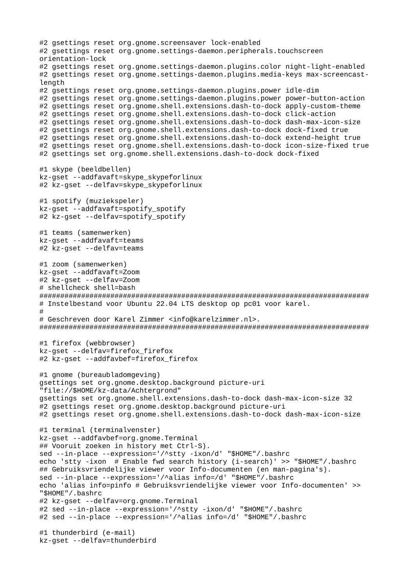#2 gsettings reset org.gnome.screensaver lock-enabled #2 gsettings reset org.gnome.settings-daemon.peripherals.touchscreen orientation-lock #2 gsettings reset org.gnome.settings-daemon.plugins.color night-light-enabled #2 gsettings reset org.gnome.settings-daemon.plugins.media-keys max-screencastlength #2 gsettings reset org.gnome.settings-daemon.plugins.power idle-dim #2 gsettings reset org.gnome.settings-daemon.plugins.power power-button-action #2 gsettings reset org.gnome.shell.extensions.dash-to-dock apply-custom-theme #2 gsettings reset org.gnome.shell.extensions.dash-to-dock click-action #2 gsettings reset org.gnome.shell.extensions.dash-to-dock dash-max-icon-size #2 gsettings reset org.gnome.shell.extensions.dash-to-dock dock-fixed true #2 gsettings reset org.gnome.shell.extensions.dash-to-dock extend-height true #2 gsettings reset org.gnome.shell.extensions.dash-to-dock icon-size-fixed true #2 gsettings set org.gnome.shell.extensions.dash-to-dock dock-fixed #1 skype (beeldbellen) kz-gset --addfavaft=skype\_skypeforlinux #2 kz-gset --delfav=skype\_skypeforlinux #1 spotify (muziekspeler) kz-gset --addfavaft=spotify\_spotify #2 kz-gset --delfav=spotify\_spotify #1 teams (samenwerken) kz-gset --addfavaft=teams #2 kz-gset --delfav=teams #1 zoom (samenwerken) kz-gset --addfavaft=Zoom #2 kz-gset --delfav=Zoom # shellcheck shell=bash ############################################################################### # Instelbestand voor Ubuntu 22.04 LTS desktop op pc01 voor karel. # # Geschreven door Karel Zimmer <info@karelzimmer.nl>. ############################################################################### #1 firefox (webbrowser) kz-gset --delfav=firefox\_firefox #2 kz-gset --addfavbef=firefox\_firefox #1 gnome (bureaubladomgeving) gsettings set org.gnome.desktop.background picture-uri "file://\$HOME/kz-data/Achtergrond" gsettings set org.gnome.shell.extensions.dash-to-dock dash-max-icon-size 32 #2 gsettings reset org.gnome.desktop.background picture-uri #2 gsettings reset org.gnome.shell.extensions.dash-to-dock dash-max-icon-size #1 terminal (terminalvenster) kz-gset --addfavbef=org.gnome.Terminal ## Vooruit zoeken in history met Ctrl-S). sed --in-place --expression='/^stty -ixon/d' "\$HOME"/.bashrc echo 'stty -ixon # Enable fwd search history (i-search)' >> "\$HOME"/.bashrc ## Gebruiksvriendelijke viewer voor Info-documenten (en man-pagina's). sed --in-place --expression='/^alias info=/d' "\$HOME"/.bashrc echo 'alias info=pinfo # Gebruiksvriendelijke viewer voor Info-documenten' >> "\$HOME"/.bashrc #2 kz-gset --delfav=org.gnome.Terminal #2 sed --in-place --expression='/^stty -ixon/d' "\$HOME"/.bashrc #2 sed --in-place --expression='/^alias info=/d' "\$HOME"/.bashrc #1 thunderbird (e-mail) kz-gset --delfav=thunderbird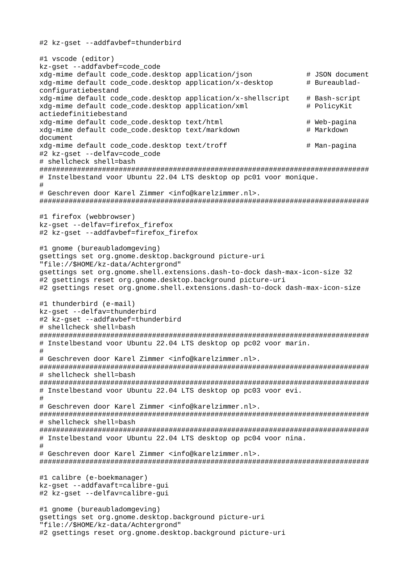#2 kz-gset --addfavbef=thunderbird

#1 vscode (editor) kz-gset --addfavbef=code\_code xdg-mime default code\_code.desktop application/json  $\#$  JSON document<br>xdg-mime default code\_code.desktop application/x-desktop  $\#$  Bureaubladxdg-mime default code\_code.desktop application/x-desktop configuratiebestand  $xdg$ -mime default code\_code.desktop application/x-shellscript # Bash-script xdg-mime default code\_code.desktop application/xml # PolicyKit actiedefinitiebestand xdg-mime default code\_code.desktop text/html  $\#$  Web-pagina xdg-mime default code\_code.desktop text/markdown # Markdown document xdg-mime default code\_code.desktop text/troff # Man-pagina #2 kz-gset --delfav=code\_code # shellcheck shell=bash ############################################################################### # Instelbestand voor Ubuntu 22.04 LTS desktop op pc01 voor monique. # # Geschreven door Karel Zimmer <info@karelzimmer.nl>. ############################################################################### #1 firefox (webbrowser) kz-gset --delfav=firefox\_firefox #2 kz-gset --addfavbef=firefox\_firefox #1 gnome (bureaubladomgeving) gsettings set org.gnome.desktop.background picture-uri "file://\$HOME/kz-data/Achtergrond" gsettings set org.gnome.shell.extensions.dash-to-dock dash-max-icon-size 32 #2 gsettings reset org.gnome.desktop.background picture-uri #2 gsettings reset org.gnome.shell.extensions.dash-to-dock dash-max-icon-size #1 thunderbird (e-mail) kz-gset --delfav=thunderbird #2 kz-gset --addfavbef=thunderbird # shellcheck shell=bash ############################################################################### # Instelbestand voor Ubuntu 22.04 LTS desktop op pc02 voor marin. # # Geschreven door Karel Zimmer <info@karelzimmer.nl>. ############################################################################### # shellcheck shell=bash ############################################################################### # Instelbestand voor Ubuntu 22.04 LTS desktop op pc03 voor evi. # # Geschreven door Karel Zimmer <info@karelzimmer.nl>. ############################################################################### # shellcheck shell=bash ############################################################################### # Instelbestand voor Ubuntu 22.04 LTS desktop op pc04 voor nina.  $#$ # Geschreven door Karel Zimmer <info@karelzimmer.nl>. ############################################################################### #1 calibre (e-boekmanager) kz-gset --addfavaft=calibre-gui #2 kz-gset --delfav=calibre-gui #1 gnome (bureaubladomgeving) gsettings set org.gnome.desktop.background picture-uri "file://\$HOME/kz-data/Achtergrond" #2 gsettings reset org.gnome.desktop.background picture-uri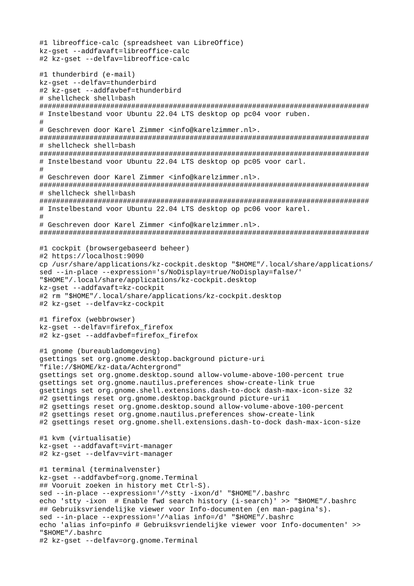```
#1 libreoffice-calc (spreadsheet van LibreOffice)
kz-gset --addfavaft=libreoffice-calc
#2 kz-gset --delfav=libreoffice-calc
#1 thunderbird (e-mail)
kz-aset --delfav=thunderbird
#2 kz-gset --addfavbef=thunderbird
# shellcheck shell=bash
# Instelbestand voor Ubuntu 22.04 LTS desktop op pc04 voor ruben.
## Geschreven door Karel Zimmer <info@karelzimmer.nl>.
# shellcheck shell=bash
# Instelbestand voor Ubuntu 22.04 LTS desktop op pc05 voor carl.
## Geschreven door Karel Zimmer <info@karelzimmer.nl>.
# shellcheck shell=bash
# Instelbestand voor Ubuntu 22.04 LTS desktop op pc06 voor karel.
# Geschreven door Karel Zimmer <info@karelzimmer.nl>.
#1 cockpit (browsergebaseerd beheer)
#2 https://localhost:9090
cp /usr/share/applications/kz-cockpit.desktop "$HOME"/.local/share/applications/
sed --in-place --expression='s/NoDisplay=true/NoDisplay=false/'
"$HOME"/.local/share/applications/kz-cockpit.desktop
kz-gset --addfavaft=kz-cockpit
#2 rm "$HOME"/.local/share/applications/kz-cockpit.desktop
#2 kz-gset --delfav=kz-cockpit
#1 firefox (webbrowser)
kz-gset --delfav=firefox firefox
#2 kz-gset --addfavbef=firefox_firefox
#1 gnome (bureaubladomgeving)
gsettings set org.gnome.desktop.background picture-uri
"file://$HOME/kz-data/Achtergrond"
gsettings set org.gnome.desktop.sound allow-volume-above-100-percent true
gsettings set org.gnome.nautilus.preferences show-create-link true
gsettings set org.gnome.shell.extensions.dash-to-dock dash-max-icon-size 32
#2 gsettings reset org.gnome.desktop.background picture-uri1
#2 gsettings reset org.gnome.desktop.sound allow-volume-above-100-percent
#2 gsettings reset org.gnome.nautilus.preferences show-create-link
#2 gsettings reset org.gnome.shell.extensions.dash-to-dock dash-max-icon-size
#1 kvm (virtualisatie)
kz-gset --addfavaft=virt-manager
#2 kz-gset --delfav=virt-manager
#1 terminal (terminalvenster)
kz-gset --addfavbef=org.gnome.Terminal
## Vooruit zoeken in history met Ctrl-S).
sed --in-place --expression='/^stty -ixon/d' "$HOME"/.bashrc
echo 'stty -ixon # Enable fwd search history (i-search)' >> "$HOME"/.bashrc
## Gebruiksvriendelijke viewer voor Info-documenten (en man-pagina's).
sed --in-place --expression='/^alias info=/d' "$HOME"/.bashrc
echo 'alias info=pinfo # Gebruiksvriendelijke viewer voor Info-documenten' >>
"$HOME"/.bashrc
#2 kz-gset --delfav=org.gnome.Terminal
```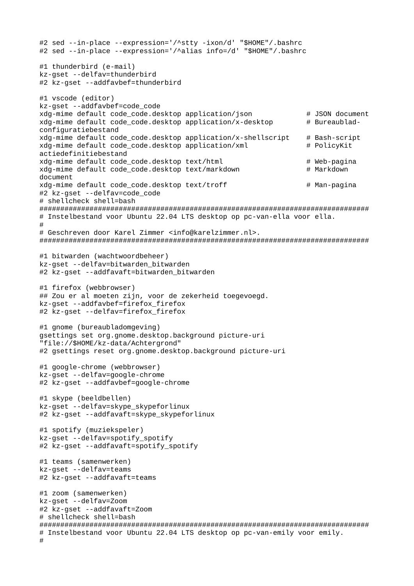```
#2 sed --in-place --expression='/^stty -ixon/d' "$HOME"/.bashrc
#2 sed --in-place --expression='/^alias info=/d' "$HOME"/.bashrc
#1 thunderbird (e-mail)
kz-gset --delfav=thunderbird
#2 kz-aset --addfavbef=thunderbird
#1 vscode (editor)
kz-gset --addfavbef=code_code
                                                      # JSON document<br># Bureaublad-
xdg-mime default code_code.desktop application/json
xdg-mime default code_code.desktop application/x-desktop
configuratiebestand
xdg-mime default code_code.desktop application/x-shellscript # Bash-script
xdg-mime default code_code.desktop application/xml
                                                        # PolicyKit
actiedefinitiebestand
xdg-mime default code_code.desktop text/html
                                                         # Web-pagina
                                                         # Markdown
xdg-mime default code_code.desktop text/markdown
document
xdg-mime default code_code.desktop text/troff
                                                         # Man-pagina
#2 kz-gset --delfav=code_code
# shellcheck shell=bash
# Instelbestand voor Ubuntu 22.04 LTS desktop op pc-van-ella voor ella.
## Geschreven door Karel Zimmer <info@karelzimmer.nl>.
#1 bitwarden (wachtwoordbeheer)
kz-gset --delfav=bitwarden_bitwarden
#2 kz-gset --addfavaft=bitwarden_bitwarden
#1 firefox (webbrowser)
## Zou er al moeten zijn, voor de zekerheid toegevoegd.
kz-gset --addfavbef=firefox_firefox
#2 kz-gset --delfav=firefox_firefox
#1 gnome (bureaubladomgeving)
gsettings set org.gnome.desktop.background picture-uri
"file://$HOME/kz-data/Achtergrond"
#2 gsettings reset org.gnome.desktop.background picture-uri
#1 google-chrome (webbrowser)
kz-gset --delfav=google-chrome
#2 kz-gset --addfavbef=google-chrome
#1 skype (beeldbellen)
kz-gset --delfav=skype_skypeforlinux
#2 kz-gset --addfavaft=skype_skypeforlinux
#1 spotify (muziekspeler)
kz-gset --delfav=spotify_spotify
#2 kz-gset --addfavaft=spotify_spotify
#1 teams (samenwerken)
kz-gset --delfav=teams
#2 kz-gset --addfavaft=teams
#1 zoom (samenwerken)
kz-gset --delfav=Zoom
#2 kz-gset --addfavaft=Zoom
# shellcheck shell=bash
# Instelbestand voor Ubuntu 22.04 LTS desktop op pc-van-emily voor emily.
#
```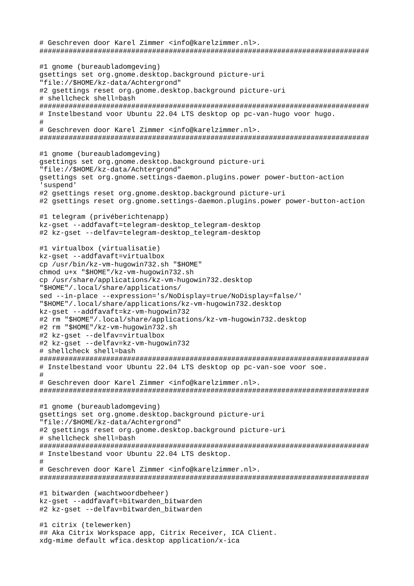# Geschreven door Karel Zimmer <info@karelzimmer.nl>. ############################################################################### #1 gnome (bureaubladomgeving) gsettings set org.gnome.desktop.background picture-uri "file://\$HOME/kz-data/Achtergrond" #2 gsettings reset org.gnome.desktop.background picture-uri # shellcheck shell=bash ############################################################################### # Instelbestand voor Ubuntu 22.04 LTS desktop op pc-van-hugo voor hugo. # # Geschreven door Karel Zimmer <info@karelzimmer.nl>. ############################################################################### #1 gnome (bureaubladomgeving) gsettings set org.gnome.desktop.background picture-uri "file://\$HOME/kz-data/Achtergrond" gsettings set org.gnome.settings-daemon.plugins.power power-button-action 'suspend' #2 gsettings reset org.gnome.desktop.background picture-uri #2 gsettings reset org.gnome.settings-daemon.plugins.power power-button-action #1 telegram (privéberichtenapp) kz-gset --addfavaft=telegram-desktop\_telegram-desktop #2 kz-gset --delfav=telegram-desktop\_telegram-desktop #1 virtualbox (virtualisatie) kz-gset --addfavaft=virtualbox cp /usr/bin/kz-vm-hugowin732.sh "\$HOME" chmod u+x "\$HOME"/kz-vm-hugowin732.sh cp /usr/share/applications/kz-vm-hugowin732.desktop "\$HOME"/.local/share/applications/ sed --in-place --expression='s/NoDisplay=true/NoDisplay=false/' "\$HOME"/.local/share/applications/kz-vm-hugowin732.desktop kz-gset --addfavaft=kz-vm-hugowin732 #2 rm "\$HOME"/.local/share/applications/kz-vm-hugowin732.desktop #2 rm "\$HOME"/kz-vm-hugowin732.sh #2 kz-gset --delfav=virtualbox #2 kz-gset --delfav=kz-vm-hugowin732 # shellcheck shell=bash ############################################################################### # Instelbestand voor Ubuntu 22.04 LTS desktop op pc-van-soe voor soe. # # Geschreven door Karel Zimmer <info@karelzimmer.nl>. ############################################################################### #1 gnome (bureaubladomgeving) gsettings set org.gnome.desktop.background picture-uri "file://\$HOME/kz-data/Achtergrond" #2 gsettings reset org.gnome.desktop.background picture-uri # shellcheck shell=bash ############################################################################### # Instelbestand voor Ubuntu 22.04 LTS desktop.  $#$ # Geschreven door Karel Zimmer <info@karelzimmer.nl>. ############################################################################### #1 bitwarden (wachtwoordbeheer) kz-gset --addfavaft=bitwarden\_bitwarden #2 kz-gset --delfav=bitwarden\_bitwarden #1 citrix (telewerken) ## Aka Citrix Workspace app, Citrix Receiver, ICA Client. xdg-mime default wfica.desktop application/x-ica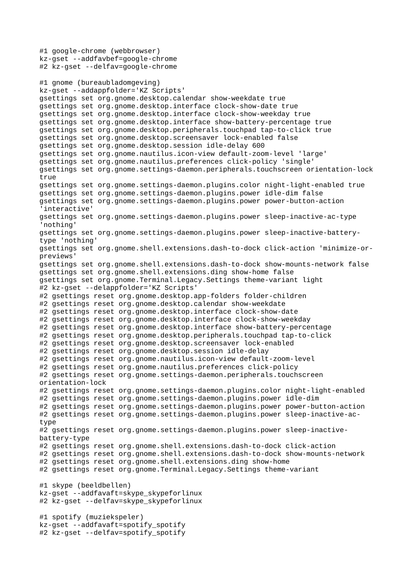```
#1 google-chrome (webbrowser)
kz-gset --addfavbef=google-chrome
#2 kz-gset --delfav=google-chrome
#1 gnome (bureaubladomgeving)
kz-gset --addappfolder='KZ Scripts'
gsettings set org.gnome.desktop.calendar show-weekdate true
gsettings set org.gnome.desktop.interface clock-show-date true
gsettings set org.gnome.desktop.interface clock-show-weekday true
gsettings set org.gnome.desktop.interface show-battery-percentage true
gsettings set org.gnome.desktop.peripherals.touchpad tap-to-click true
gsettings set org.gnome.desktop.screensaver lock-enabled false
gsettings set org.gnome.desktop.session idle-delay 600
gsettings set org.gnome.nautilus.icon-view default-zoom-level 'large'
gsettings set org.gnome.nautilus.preferences click-policy 'single'
gsettings set org.gnome.settings-daemon.peripherals.touchscreen orientation-lock
true
gsettings set org.gnome.settings-daemon.plugins.color night-light-enabled true
gsettings set org.gnome.settings-daemon.plugins.power idle-dim false
gsettings set org.gnome.settings-daemon.plugins.power power-button-action 
'interactive'
gsettings set org.gnome.settings-daemon.plugins.power sleep-inactive-ac-type 
'nothing'
gsettings set org.gnome.settings-daemon.plugins.power sleep-inactive-battery-
type 'nothing'
gsettings set org.gnome.shell.extensions.dash-to-dock click-action 'minimize-or-
previews'
gsettings set org.gnome.shell.extensions.dash-to-dock show-mounts-network false
gsettings set org.gnome.shell.extensions.ding show-home false
gsettings set org.gnome.Terminal.Legacy.Settings theme-variant light
#2 kz-gset --delappfolder='KZ Scripts'
#2 gsettings reset org.gnome.desktop.app-folders folder-children
#2 gsettings reset org.gnome.desktop.calendar show-weekdate
#2 gsettings reset org.gnome.desktop.interface clock-show-date
#2 gsettings reset org.gnome.desktop.interface clock-show-weekday
#2 gsettings reset org.gnome.desktop.interface show-battery-percentage
#2 gsettings reset org.gnome.desktop.peripherals.touchpad tap-to-click
#2 gsettings reset org.gnome.desktop.screensaver lock-enabled
#2 gsettings reset org.gnome.desktop.session idle-delay
#2 gsettings reset org.gnome.nautilus.icon-view default-zoom-level
#2 gsettings reset org.gnome.nautilus.preferences click-policy
#2 gsettings reset org.gnome.settings-daemon.peripherals.touchscreen 
orientation-lock
#2 gsettings reset org.gnome.settings-daemon.plugins.color night-light-enabled
#2 gsettings reset org.gnome.settings-daemon.plugins.power idle-dim
#2 gsettings reset org.gnome.settings-daemon.plugins.power power-button-action
#2 gsettings reset org.gnome.settings-daemon.plugins.power sleep-inactive-ac-
type
#2 gsettings reset org.gnome.settings-daemon.plugins.power sleep-inactive-
battery-type
#2 gsettings reset org.gnome.shell.extensions.dash-to-dock click-action
#2 gsettings reset org.gnome.shell.extensions.dash-to-dock show-mounts-network
#2 gsettings reset org.gnome.shell.extensions.ding show-home
#2 gsettings reset org.gnome.Terminal.Legacy.Settings theme-variant
#1 skype (beeldbellen)
kz-gset --addfavaft=skype_skypeforlinux
#2 kz-gset --delfav=skype_skypeforlinux
#1 spotify (muziekspeler)
kz-gset --addfavaft=spotify_spotify
#2 kz-gset --delfav=spotify_spotify
```